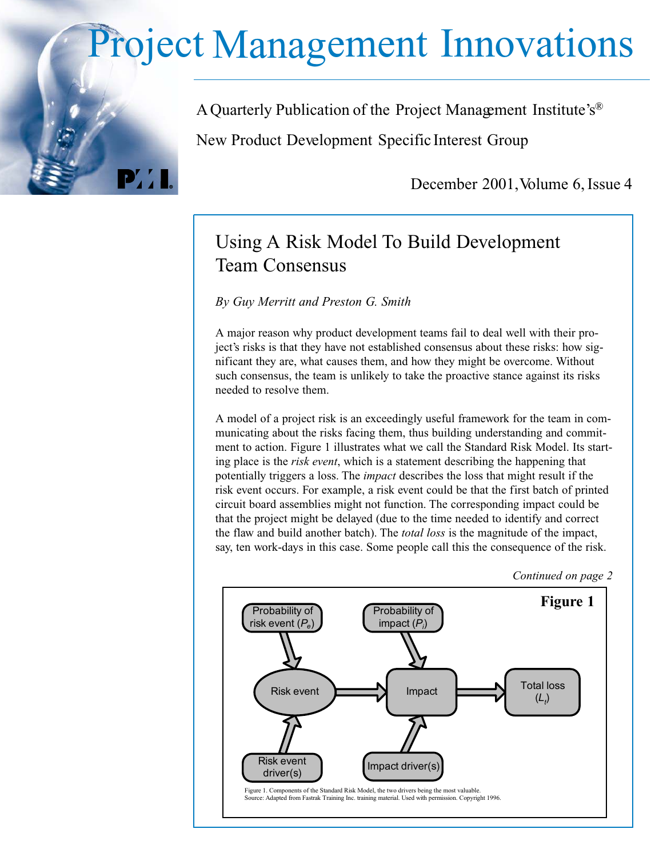## Project Management Innovations

A Quarterly Publication of the Project Management Institute's® New Product Development Specific Interest Group

December 2001, Volume 6, Issue 4

## Using A Risk Model To Build Development Team Consensus

*By Guy Merritt and Preston G. Smith*

 $\mathbf{P}'$ 

A major reason why product development teams fail to deal well with their project's risks is that they have not established consensus about these risks: how significant they are, what causes them, and how they might be overcome. Without such consensus, the team is unlikely to take the proactive stance against its risks needed to resolve them.

A model of a project risk is an exceedingly useful framework for the team in communicating about the risks facing them, thus building understanding and commitment to action. Figure 1 illustrates what we call the Standard Risk Model. Its starting place is the *risk event*, which is a statement describing the happening that potentially triggers a loss. The *impact* describes the loss that might result if the risk event occurs. For example, a risk event could be that the first batch of printed circuit board assemblies might not function. The corresponding impact could be that the project might be delayed (due to the time needed to identify and correct the flaw and build another batch). The *total loss* is the magnitude of the impact, say, ten work-days in this case. Some people call this the consequence of the risk.



*Continued on page 2*